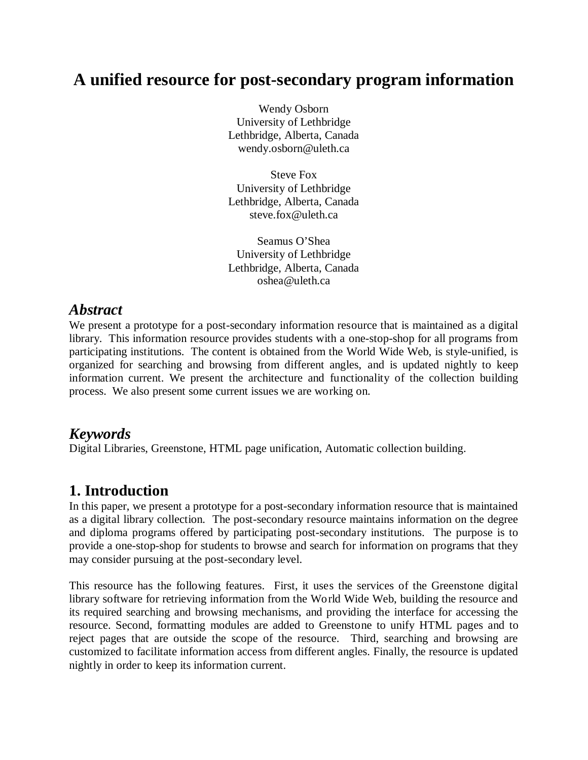# **A unified resource for post-secondary program information**

Wendy Osborn University of Lethbridge Lethbridge, Alberta, Canada wendy.osborn@uleth.ca

Steve Fox University of Lethbridge Lethbridge, Alberta, Canada steve.fox@uleth.ca

Seamus O'Shea University of Lethbridge Lethbridge, Alberta, Canada oshea@uleth.ca

#### *Abstract*

We present a prototype for a post-secondary information resource that is maintained as a digital library. This information resource provides students with a one-stop-shop for all programs from participating institutions. The content is obtained from the World Wide Web, is style-unified, is organized for searching and browsing from different angles, and is updated nightly to keep information current. We present the architecture and functionality of the collection building process. We also present some current issues we are working on.

### *Keywords*

Digital Libraries, Greenstone, HTML page unification, Automatic collection building.

# **1. Introduction**

In this paper, we present a prototype for a post-secondary information resource that is maintained as a digital library collection. The post-secondary resource maintains information on the degree and diploma programs offered by participating post-secondary institutions. The purpose is to provide a one-stop-shop for students to browse and search for information on programs that they may consider pursuing at the post-secondary level.

This resource has the following features. First, it uses the services of the Greenstone digital library software for retrieving information from the World Wide Web, building the resource and its required searching and browsing mechanisms, and providing the interface for accessing the resource. Second, formatting modules are added to Greenstone to unify HTML pages and to reject pages that are outside the scope of the resource. Third, searching and browsing are customized to facilitate information access from different angles. Finally, the resource is updated nightly in order to keep its information current.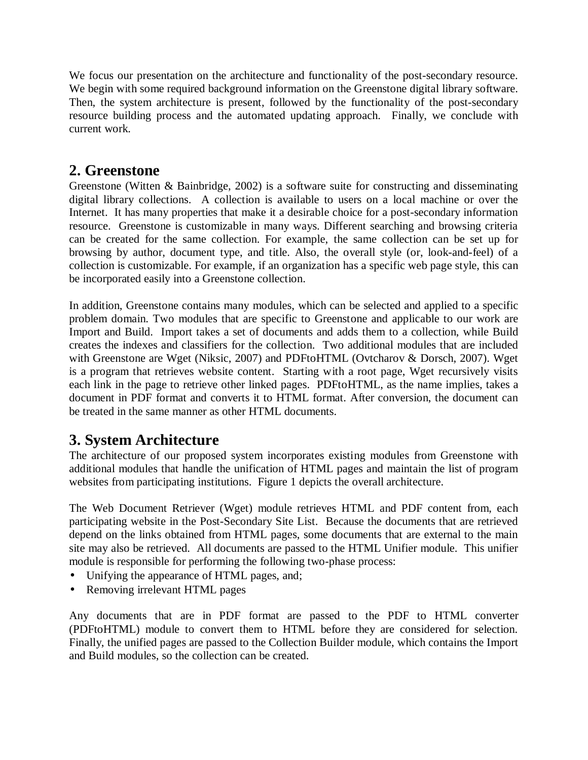We focus our presentation on the architecture and functionality of the post-secondary resource. We begin with some required background information on the Greenstone digital library software. Then, the system architecture is present, followed by the functionality of the post-secondary resource building process and the automated updating approach. Finally, we conclude with current work.

#### **2. Greenstone**

Greenstone (Witten & Bainbridge, 2002) is a software suite for constructing and disseminating digital library collections. A collection is available to users on a local machine or over the Internet. It has many properties that make it a desirable choice for a post-secondary information resource. Greenstone is customizable in many ways. Different searching and browsing criteria can be created for the same collection. For example, the same collection can be set up for browsing by author, document type, and title. Also, the overall style (or, look-and-feel) of a collection is customizable. For example, if an organization has a specific web page style, this can be incorporated easily into a Greenstone collection.

In addition, Greenstone contains many modules, which can be selected and applied to a specific problem domain. Two modules that are specific to Greenstone and applicable to our work are Import and Build. Import takes a set of documents and adds them to a collection, while Build creates the indexes and classifiers for the collection. Two additional modules that are included with Greenstone are Wget (Niksic, 2007) and PDFtoHTML (Ovtcharov & Dorsch, 2007). Wget is a program that retrieves website content. Starting with a root page, Wget recursively visits each link in the page to retrieve other linked pages. PDFtoHTML, as the name implies, takes a document in PDF format and converts it to HTML format. After conversion, the document can be treated in the same manner as other HTML documents.

# **3. System Architecture**

The architecture of our proposed system incorporates existing modules from Greenstone with additional modules that handle the unification of HTML pages and maintain the list of program websites from participating institutions. Figure 1 depicts the overall architecture.

The Web Document Retriever (Wget) module retrieves HTML and PDF content from, each participating website in the Post-Secondary Site List. Because the documents that are retrieved depend on the links obtained from HTML pages, some documents that are external to the main site may also be retrieved. All documents are passed to the HTML Unifier module. This unifier module is responsible for performing the following two-phase process:

- Unifying the appearance of HTML pages, and;
- Removing irrelevant HTML pages

Any documents that are in PDF format are passed to the PDF to HTML converter (PDFtoHTML) module to convert them to HTML before they are considered for selection. Finally, the unified pages are passed to the Collection Builder module, which contains the Import and Build modules, so the collection can be created.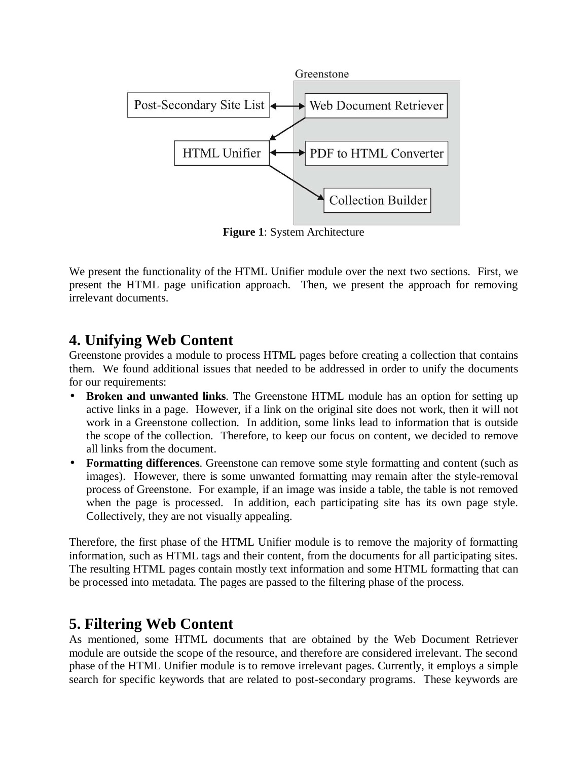

**Figure 1**: System Architecture

We present the functionality of the HTML Unifier module over the next two sections. First, we present the HTML page unification approach. Then, we present the approach for removing irrelevant documents.

#### **4. Unifying Web Content**

Greenstone provides a module to process HTML pages before creating a collection that contains them. We found additional issues that needed to be addressed in order to unify the documents for our requirements:

- **Broken and unwanted links**. The Greenstone HTML module has an option for setting up active links in a page. However, if a link on the original site does not work, then it will not work in a Greenstone collection. In addition, some links lead to information that is outside the scope of the collection. Therefore, to keep our focus on content, we decided to remove all links from the document.
- **Formatting differences**. Greenstone can remove some style formatting and content (such as images). However, there is some unwanted formatting may remain after the style-removal process of Greenstone. For example, if an image was inside a table, the table is not removed when the page is processed. In addition, each participating site has its own page style. Collectively, they are not visually appealing.

Therefore, the first phase of the HTML Unifier module is to remove the majority of formatting information, such as HTML tags and their content, from the documents for all participating sites. The resulting HTML pages contain mostly text information and some HTML formatting that can be processed into metadata. The pages are passed to the filtering phase of the process.

### **5. Filtering Web Content**

As mentioned, some HTML documents that are obtained by the Web Document Retriever module are outside the scope of the resource, and therefore are considered irrelevant. The second phase of the HTML Unifier module is to remove irrelevant pages. Currently, it employs a simple search for specific keywords that are related to post-secondary programs. These keywords are